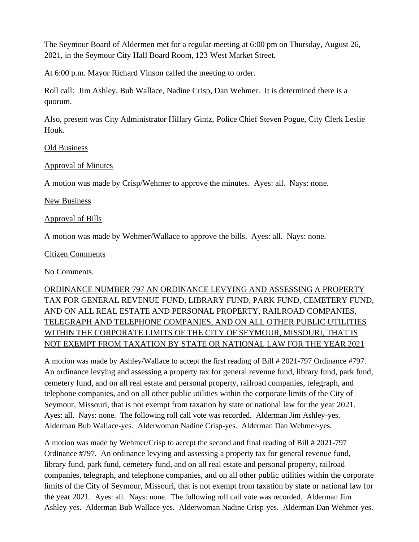The Seymour Board of Aldermen met for a regular meeting at 6:00 pm on Thursday, August 26, 2021, in the Seymour City Hall Board Room, 123 West Market Street.

At 6:00 p.m. Mayor Richard Vinson called the meeting to order.

Roll call: Jim Ashley, Bub Wallace, Nadine Crisp, Dan Wehmer. It is determined there is a quorum.

Also, present was City Administrator Hillary Gintz, Police Chief Steven Pogue, City Clerk Leslie Houk.

### Old Business

### Approval of Minutes

A motion was made by Crisp/Wehmer to approve the minutes. Ayes: all. Nays: none.

### New Business

### Approval of Bills

A motion was made by Wehmer/Wallace to approve the bills. Ayes: all. Nays: none.

### Citizen Comments

No Comments.

# ORDINANCE NUMBER 797 AN ORDINANCE LEVYING AND ASSESSING A PROPERTY TAX FOR GENERAL REVENUE FUND, LIBRARY FUND, PARK FUND, CEMETERY FUND, AND ON ALL REAL ESTATE AND PERSONAL PROPERTY, RAILROAD COMPANIES, TELEGRAPH AND TELEPHONE COMPANIES, AND ON ALL OTHER PUBLIC UTILITIES WITHIN THE CORPORATE LIMITS OF THE CITY OF SEYMOUR, MISSOURI, THAT IS NOT EXEMPT FROM TAXATION BY STATE OR NATIONAL LAW FOR THE YEAR 2021

A motion was made by Ashley/Wallace to accept the first reading of Bill # 2021-797 Ordinance #797. An ordinance levying and assessing a property tax for general revenue fund, library fund, park fund, cemetery fund, and on all real estate and personal property, railroad companies, telegraph, and telephone companies, and on all other public utilities within the corporate limits of the City of Seymour, Missouri, that is not exempt from taxation by state or national law for the year 2021. Ayes: all. Nays: none. The following roll call vote was recorded. Alderman Jim Ashley-yes. Alderman Bub Wallace-yes. Alderwoman Nadine Crisp-yes. Alderman Dan Wehmer-yes.

A motion was made by Wehmer/Crisp to accept the second and final reading of Bill # 2021-797 Ordinance #797. An ordinance levying and assessing a property tax for general revenue fund, library fund, park fund, cemetery fund, and on all real estate and personal property, railroad companies, telegraph, and telephone companies, and on all other public utilities within the corporate limits of the City of Seymour, Missouri, that is not exempt from taxation by state or national law for the year 2021. Ayes: all. Nays: none. The following roll call vote was recorded. Alderman Jim Ashley-yes. Alderman Bub Wallace-yes. Alderwoman Nadine Crisp-yes. Alderman Dan Wehmer-yes.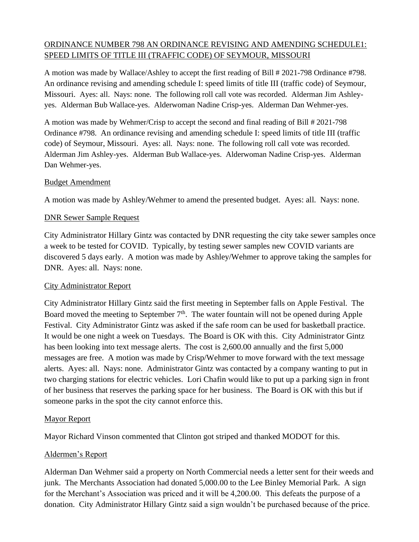# ORDINANCE NUMBER 798 AN ORDINANCE REVISING AND AMENDING SCHEDULE1: SPEED LIMITS OF TITLE III (TRAFFIC CODE) OF SEYMOUR, MISSOURI

A motion was made by Wallace/Ashley to accept the first reading of Bill # 2021-798 Ordinance #798. An ordinance revising and amending schedule I: speed limits of title III (traffic code) of Seymour, Missouri. Ayes: all. Nays: none. The following roll call vote was recorded. Alderman Jim Ashleyyes. Alderman Bub Wallace-yes. Alderwoman Nadine Crisp-yes. Alderman Dan Wehmer-yes.

A motion was made by Wehmer/Crisp to accept the second and final reading of Bill # 2021-798 Ordinance #798. An ordinance revising and amending schedule I: speed limits of title III (traffic code) of Seymour, Missouri. Ayes: all. Nays: none. The following roll call vote was recorded. Alderman Jim Ashley-yes. Alderman Bub Wallace-yes. Alderwoman Nadine Crisp-yes. Alderman Dan Wehmer-yes.

### Budget Amendment

A motion was made by Ashley/Wehmer to amend the presented budget. Ayes: all. Nays: none.

### DNR Sewer Sample Request

City Administrator Hillary Gintz was contacted by DNR requesting the city take sewer samples once a week to be tested for COVID. Typically, by testing sewer samples new COVID variants are discovered 5 days early. A motion was made by Ashley/Wehmer to approve taking the samples for DNR. Ayes: all. Nays: none.

# City Administrator Report

City Administrator Hillary Gintz said the first meeting in September falls on Apple Festival. The Board moved the meeting to September  $7<sup>th</sup>$ . The water fountain will not be opened during Apple Festival. City Administrator Gintz was asked if the safe room can be used for basketball practice. It would be one night a week on Tuesdays. The Board is OK with this. City Administrator Gintz has been looking into text message alerts. The cost is 2,600.00 annually and the first 5,000 messages are free. A motion was made by Crisp/Wehmer to move forward with the text message alerts. Ayes: all. Nays: none. Administrator Gintz was contacted by a company wanting to put in two charging stations for electric vehicles. Lori Chafin would like to put up a parking sign in front of her business that reserves the parking space for her business. The Board is OK with this but if someone parks in the spot the city cannot enforce this.

# Mayor Report

Mayor Richard Vinson commented that Clinton got striped and thanked MODOT for this.

# Aldermen's Report

Alderman Dan Wehmer said a property on North Commercial needs a letter sent for their weeds and junk. The Merchants Association had donated 5,000.00 to the Lee Binley Memorial Park. A sign for the Merchant's Association was priced and it will be 4,200.00. This defeats the purpose of a donation. City Administrator Hillary Gintz said a sign wouldn't be purchased because of the price.